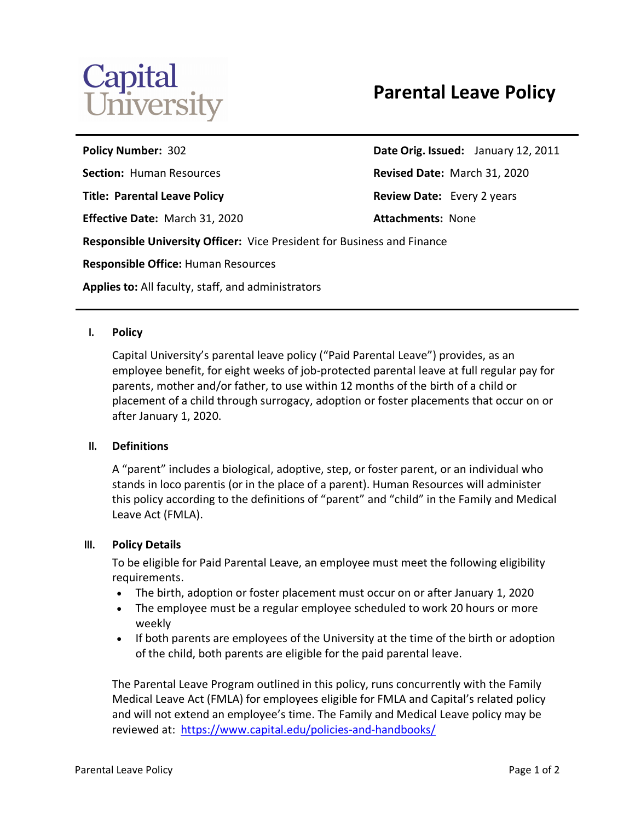

# **Parental Leave Policy**

**Section:** Human Resources **Revised Date:** March 31, 2020

**Effective Date:** March 31, 2020 **Attachments: None** 

**Policy Number:** 302 **Date Orig. Issued:** January 12, 2011 **Title: Parental Leave Policy Review Date:** Every 2 years

**Responsible University Officer:** Vice President for Business and Finance

**Responsible Office:** Human Resources

**Applies to:** All faculty, staff, and administrators

#### **I. Policy**

Capital University's parental leave policy ("Paid Parental Leave") provides, as an employee benefit, for eight weeks of job-protected parental leave at full regular pay for parents, mother and/or father, to use within 12 months of the birth of a child or placement of a child through surrogacy, adoption or foster placements that occur on or after January 1, 2020.

## **II. Definitions**

A "parent" includes a biological, adoptive, step, or foster parent, or an individual who stands in loco parentis (or in the place of a parent). Human Resources will administer this policy according to the definitions of "parent" and "child" in the Family and Medical Leave Act (FMLA).

## **III. Policy Details**

To be eligible for Paid Parental Leave, an employee must meet the following eligibility requirements.

- The birth, adoption or foster placement must occur on or after January 1, 2020
- The employee must be a regular employee scheduled to work 20 hours or more weekly
- If both parents are employees of the University at the time of the birth or adoption of the child, both parents are eligible for the paid parental leave.

The Parental Leave Program outlined in this policy, runs concurrently with the Family Medical Leave Act (FMLA) for employees eligible for FMLA and Capital's related policy and will not extend an employee's time. The Family and Medical Leave policy may be reviewed at: https://www.capital.edu/policies-and-handbooks/